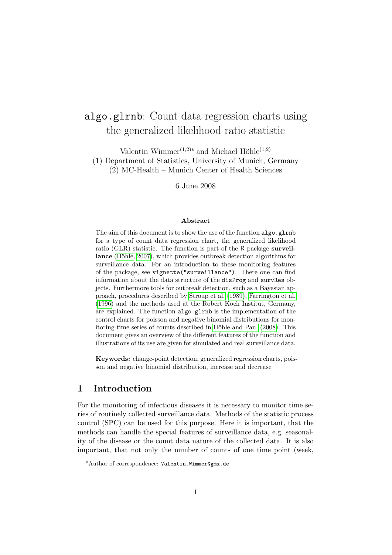# algo.glrnb: Count data regression charts using the generalized likelihood ratio statistic

Valentin Wimmer<sup> $(1,2)$ </sup><sup>\*</sup> and Michael Höhle</sub> $(1,2)$ (1) Department of Statistics, University of Munich, Germany (2) MC-Health – Munich Center of Health Sciences

6 June 2008

#### Abstract

The aim of this document is to show the use of the function algo.glrnb for a type of count data regression chart, the generalized likelihood ratio (GLR) statistic. The function is part of the R package surveillance (Höhle, 2007), which provides outbreak detection algorithms for surveillance data. For an introduction to these monitoring features of the package, see vignette("surveillance"). There one can find information about the data structure of the disProg and survRes objects. Furthermore tools for outbreak detection, such as a Bayesian approach, procedures described by [Stroup et al. \(1989\)](#page-11-0), [Farrington et al.](#page-10-1) [\(1996\)](#page-10-1) and the methods used at the Robert Koch Institut, Germany, are explained. The function algo.glrnb is the implementation of the control charts for poisson and negative binomial distributions for monitoring time series of counts described in Höhle and Paul (2008). This document gives an overview of the different features of the function and illustrations of its use are given for simulated and real surveillance data.

Keywords: change-point detection, generalized regression charts, poisson and negative binomial distribution, increase and decrease

### 1 Introduction

For the monitoring of infectious diseases it is necessary to monitor time series of routinely collected surveillance data. Methods of the statistic process control (SPC) can be used for this purpose. Here it is important, that the methods can handle the special features of surveillance data, e.g. seasonality of the disease or the count data nature of the collected data. It is also important, that not only the number of counts of one time point (week,

<sup>✯</sup>Author of correspondence: Valentin.Wimmer@gmx.de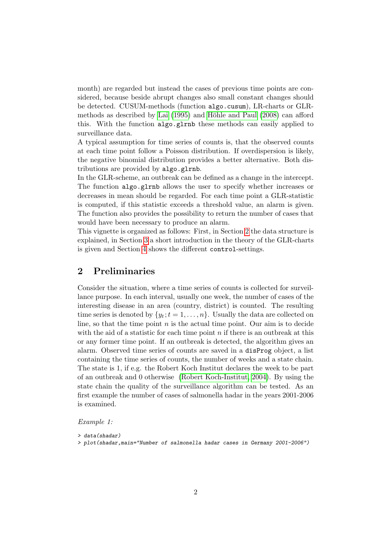month) are regarded but instead the cases of previous time points are considered, because beside abrupt changes also small constant changes should be detected. CUSUM-methods (function algo.cusum), LR-charts or GLRmethods as described by Lai  $(1995)$  and Höhle and Paul  $(2008)$  can afford this. With the function algo.glrnb these methods can easily applied to surveillance data.

A typical assumption for time series of counts is, that the observed counts at each time point follow a Poisson distribution. If overdispersion is likely, the negative binomial distribution provides a better alternative. Both distributions are provided by algo.glrnb.

In the GLR-scheme, an outbreak can be defined as a change in the intercept. The function algo.glrnb allows the user to specify whether increases or decreases in mean should be regarded. For each time point a GLR-statistic is computed, if this statistic exceeds a threshold value, an alarm is given. The function also provides the possibility to return the number of cases that would have been necessary to produce an alarm.

This vignette is organized as follows: First, in Section [2](#page-1-0) the data structure is explained, in Section [3](#page-2-0) a short introduction in the theory of the GLR-charts is given and Section [4](#page-4-0) shows the different control-settings.

### <span id="page-1-0"></span>2 Preliminaries

Consider the situation, where a time series of counts is collected for surveillance purpose. In each interval, usually one week, the number of cases of the interesting disease in an area (country, district) is counted. The resulting time series is denoted by  $\{y_t; t = 1, \ldots, n\}$ . Usually the data are collected on line, so that the time point *n* is the actual time point. Our aim is to decide with the aid of a statistic for each time point *n* if there is an outbreak at this or any former time point. If an outbreak is detected, the algorithm gives an alarm. Observed time series of counts are saved in a disProg object, a list containing the time series of counts, the number of weeks and a state chain. The state is 1, if e.g. the Robert Koch Institut declares the week to be part of an outbreak and 0 otherwise [\(Robert Koch-Institut, 2004\)](#page-11-2). By using the state chain the quality of the surveillance algorithm can be tested. As an first example the number of cases of salmonella hadar in the years 2001-2006 is examined.

*Example 1:*

*<sup>&</sup>gt; data(shadar)*

*<sup>&</sup>gt; plot(shadar,main="Number of salmonella hadar cases in Germany 2001-2006")*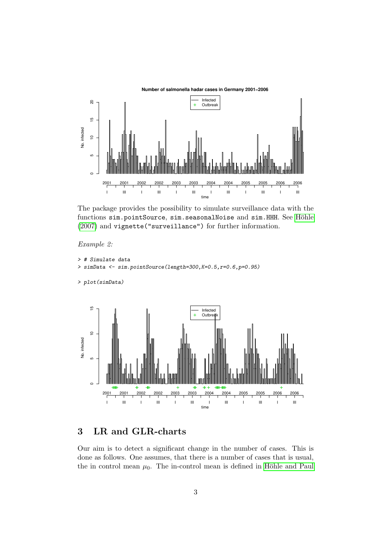

The package provides the possibility to simulate surveillance data with the functions sim.pointSource, sim.seasonalNoise and sim.HHH. See Höhle [\(2007\)](#page-10-0) and vignette("surveillance") for further information.

#### *Example 2:*

```
> # Simulate data
> simData <- sim.pointSource(length=300,K=0.5,r=0.6,p=0.95)
```

```
> plot(simData)
```


## <span id="page-2-0"></span>3 LR and GLR-charts

Our aim is to detect a significant change in the number of cases. This is done as follows. One assumes, that there is a number of cases that is usual, the in control mean  $\mu_0$ . The in-control mean is defined in Höhle and Paul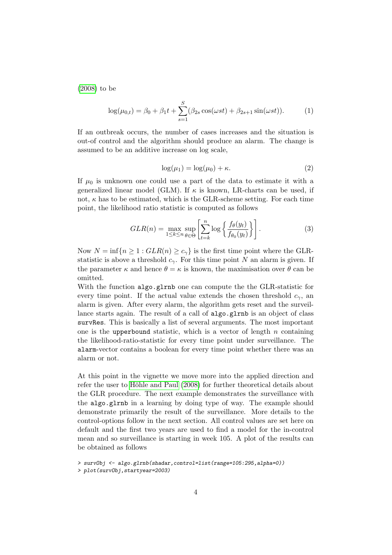[\(2008\)](#page-10-2) to be

<span id="page-3-0"></span>
$$
\log(\mu_{0,t}) = \beta_0 + \beta_1 t + \sum_{s=1}^{S} (\beta_{2s} \cos(\omega st) + \beta_{2s+1} \sin(\omega st)).
$$
 (1)

If an outbreak occurs, the number of cases increases and the situation is out-of control and the algorithm should produce an alarm. The change is assumed to be an additive increase on log scale,

<span id="page-3-2"></span>
$$
\log(\mu_1) = \log(\mu_0) + \kappa. \tag{2}
$$

If  $\mu_0$  is unknown one could use a part of the data to estimate it with a generalized linear model (GLM). If *κ* is known, LR-charts can be used, if not,  $\kappa$  has to be estimated, which is the GLR-scheme setting. For each time point, the likelihood ratio statistic is computed as follows

<span id="page-3-1"></span>
$$
GLR(n) = \max_{1 \le k \le n} \sup_{\theta \in \Theta} \left[ \sum_{t=k}^{n} \log \left\{ \frac{f_{\theta}(y_t)}{f_{\theta_0}(y_t)} \right\} \right].
$$
 (3)

Now  $N = \inf\{n \geq 1 : GLR(n) \geq c_{\gamma}\}\$ is the first time point where the GLRstatistic is above a threshold  $c_\gamma$ . For this time point *N* an alarm is given. If the parameter  $\kappa$  and hence  $\theta = \kappa$  is known, the maximisation over  $\theta$  can be omitted.

With the function algo.glrnb one can compute the the GLR-statistic for every time point. If the actual value extends the chosen threshold  $c<sub>\gamma</sub>$ , an alarm is given. After every alarm, the algorithm gets reset and the surveillance starts again. The result of a call of algo.glrnb is an object of class survRes. This is basically a list of several arguments. The most important one is the upperbound statistic, which is a vector of length  $n$  containing the likelihood-ratio-statistic for every time point under surveillance. The alarm-vector contains a boolean for every time point whether there was an alarm or not.

At this point in the vignette we move more into the applied direction and refer the user to Höhle and Paul (2008) for further theoretical details about the GLR procedure. The next example demonstrates the surveillance with the algo.glrnb in a learning by doing type of way. The example should demonstrate primarily the result of the surveillance. More details to the control-options follow in the next section. All control values are set here on default and the first two years are used to find a model for the in-control mean and so surveillance is starting in week 105. A plot of the results can be obtained as follows

*<sup>&</sup>gt; survObj <- algo.glrnb(shadar,control=list(range=105:295,alpha=0))*

*<sup>&</sup>gt; plot(survObj,startyear=2003)*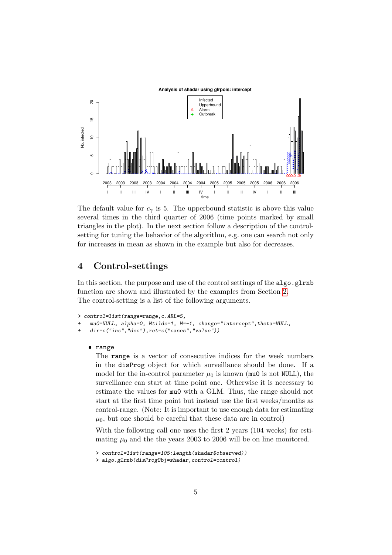

The default value for  $c<sub>\gamma</sub>$  is 5. The upperbound statistic is above this value several times in the third quarter of 2006 (time points marked by small triangles in the plot). In the next section follow a description of the controlsetting for tuning the behavior of the algorithm, e.g. one can search not only for increases in mean as shown in the example but also for decreases.

### <span id="page-4-0"></span>4 Control-settings

In this section, the purpose and use of the control settings of the algo.glrnb function are shown and illustrated by the examples from Section [2.](#page-1-0) The control-setting is a list of the following arguments.

```
> control=list(range=range,c.ARL=5,
```

```
+ mu0=NULL, alpha=0, Mtilde=1, M=-1, change="intercept",theta=NULL,
```

```
+ dir=c("inc","dec"),ret=c("cases","value"))
```
## ❼ range

The range is a vector of consecutive indices for the week numbers in the disProg object for which surveillance should be done. If a model for the in-control parameter  $\mu_0$  is known (mu0 is not NULL), the surveillance can start at time point one. Otherwise it is necessary to estimate the values for mu0 with a GLM. Thus, the range should not start at the first time point but instead use the first weeks/months as control-range. (Note: It is important to use enough data for estimating  $\mu_0$ , but one should be careful that these data are in control)

With the following call one uses the first 2 years (104 weeks) for estimating  $\mu_0$  and the the years 2003 to 2006 will be on line monitored.

```
> control=list(range=105:length(shadar$observed))
```
*<sup>&</sup>gt; algo.glrnb(disProgObj=shadar,control=control)*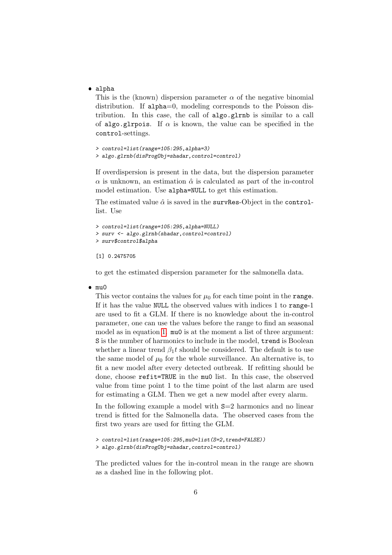● alpha

This is the (known) dispersion parameter  $\alpha$  of the negative binomial distribution. If alpha=0, modeling corresponds to the Poisson distribution. In this case, the call of algo.glrnb is similar to a call of algo.glrpois. If  $\alpha$  is known, the value can be specified in the control-settings.

```
> control=list(range=105:295,alpha=3)
> algo.glrnb(disProgObj=shadar,control=control)
```
If overdispersion is present in the data, but the dispersion parameter *α* is unknown, an estimation *α*ˆ is calculated as part of the in-control model estimation. Use alpha=NULL to get this estimation.

The estimated value  $\hat{\alpha}$  is saved in the survRes-Object in the controllist. Use

```
> control=list(range=105:295,alpha=NULL)
> surv <- algo.glrnb(shadar,control=control)
> surv$control$alpha
```
#### [1] 0.2475705

to get the estimated dispersion parameter for the salmonella data.

### ❼ mu0

This vector contains the values for  $\mu_0$  for each time point in the **range**. If it has the value NULL the observed values with indices 1 to range-1 are used to fit a GLM. If there is no knowledge about the in-control parameter, one can use the values before the range to find an seasonal model as in equation [1.](#page-3-0) mu0 is at the moment a list of three argument: S is the number of harmonics to include in the model, trend is Boolean whether a linear trend  $\beta_1 t$  should be considered. The default is to use the same model of  $\mu_0$  for the whole surveillance. An alternative is, to fit a new model after every detected outbreak. If refitting should be done, choose refit=TRUE in the mu0 list. In this case, the observed value from time point 1 to the time point of the last alarm are used for estimating a GLM. Then we get a new model after every alarm.

In the following example a model with S=2 harmonics and no linear trend is fitted for the Salmonella data. The observed cases from the first two years are used for fitting the GLM.

*> control=list(range=105:295,mu0=list(S=2,trend=FALSE))*

*> algo.glrnb(disProgObj=shadar,control=control)*

The predicted values for the in-control mean in the range are shown as a dashed line in the following plot.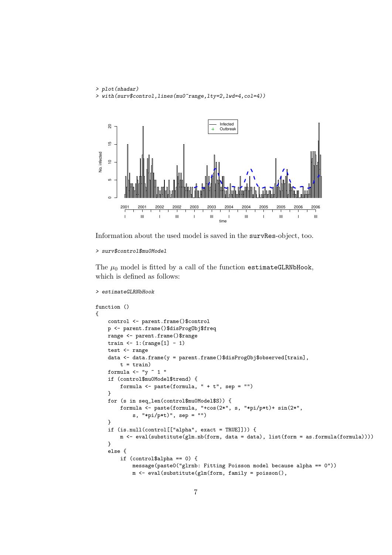```
> plot(shadar)
> with(surv$control,lines(mu0~range,lty=2,lwd=4,col=4))
```


Information about the used model is saved in the survRes-object, too.

```
> surv$control$mu0Model
```
*> estimateGLRNbHook*

The  $\mu_0$  model is fitted by a call of the function estimateGLRNbHook, which is defined as follows:

```
function ()
{
    control <- parent.frame()$control
    p <- parent.frame()$disProgObj$freq
    range <- parent.frame()$range
    train \leftarrow 1: (range[1] - 1)
    test <- range
    data <- data.frame(y = parent.frame()$disProgObj$observed[train],
        t = train)formula \leftarrow "y \tilde{ } 1 "
    if (control$mu0Model$trend) {
        formula \leq paste(formula, " + t", sep = "")
    }
    for (s in seq_len(control$mu0Model$S)) {
        formula <- paste(formula, "+cos(2*", s, "*pi/p*t)+ sin(2*",
            s, "*pi/p*t)", sep = "")
    }
    if (is.null(control[["alpha", exact = TRUE]])) {
        m <- eval(substitute(glm.nb(form, data = data), list(form = as.formula(formula))))
    }
    else {
        if (control$alpha == 0) {
            message(paste0("glrnb: Fitting Poisson model because alpha == 0"))
            m <- eval(substitute(glm(form, family = poisson(),
```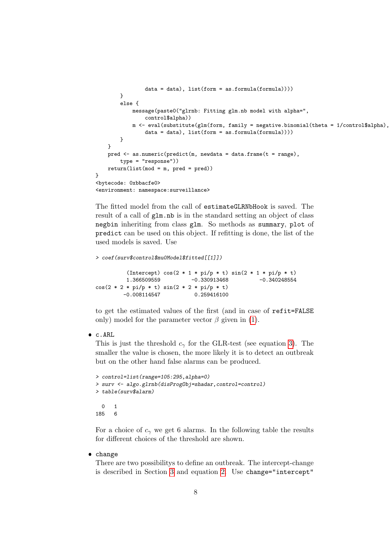```
data = data), list(form = as.formula(formula))))
        }
        else {
           message(paste0("glrnb: Fitting glm.nb model with alpha=",
                control$alpha))
           m <- eval(substitute(glm(form, family = negative.binomial(theta = 1/control$alpha),
               data = data), list(from = as.format(formula)))}
   }
   pred <- as.numeric(predict(m, newdata = data.frame(t = range),
        type = "response"))
   return(list(mod = m, pred = pred))}
<bytecode: 0xbbacfe0>
<environment: namespace:surveillance>
```
The fitted model from the call of estimateGLRNbHook is saved. The result of a call of glm.nb is in the standard setting an object of class negbin inheriting from class glm. So methods as summary, plot of predict can be used on this object. If refitting is done, the list of the used models is saved. Use

```
> coef(surv$control$mu0Model$fitted[[1]])
          (Intercept) cos(2 * 1 * pi/p * t) sin(2 * 1 * pi/p * t)
```
1.366509559 -0.330913468 -0.340248554  $cos(2 * 2 * pi/p * t) sin(2 * 2 * pi/p * t)$ -0.008114547 0.259416100

to get the estimated values of the first (and in case of refit=FALSE only) model for the parameter vector  $\beta$  given in [\(1\)](#page-3-0).

## $\bullet$  c.ARL

This is just the threshold  $c<sub>\gamma</sub>$  for the GLR-test (see equation [3\)](#page-3-1). The smaller the value is chosen, the more likely it is to detect an outbreak but on the other hand false alarms can be produced.

```
> control=list(range=105:295,alpha=0)
> surv <- algo.glrnb(disProgObj=shadar,control=control)
> table(surv$alarm)
 0 1
185 6
```
For a choice of  $c_\gamma$  we get 6 alarms. In the following table the results for different choices of the threshold are shown.

## ● change

There are two possibilitys to define an outbreak. The intercept-change is described in Section [3](#page-2-0) and equation [2.](#page-3-2) Use change="intercept"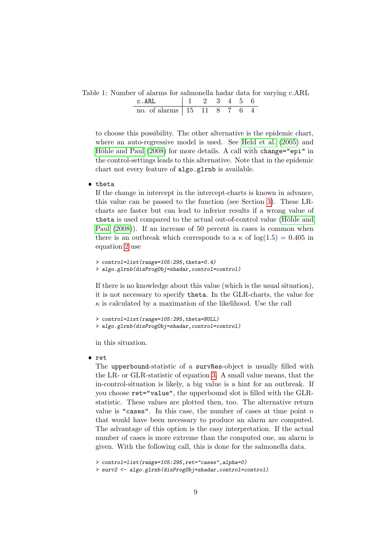Table 1: Number of alarms for salmonella hadar data for varying c.ARL

| $C$ AH            |  |  |  |  |
|-------------------|--|--|--|--|
| no ot alarms 1.15 |  |  |  |  |

to choose this possibility. The other alternative is the epidemic chart, where an auto-regressive model is used. See [Held et al. \(2005\)](#page-10-3) and Höhle and Paul (2008) for more details. A call with change="epi" in the control-settings leads to this alternative. Note that in the epidemic chart not every feature of algo.glrnb is available.

## ● theta

If the change in intercept in the intercept-charts is known in advance, this value can be passed to the function (see Section [3\)](#page-2-0). These LRcharts are faster but can lead to inferior results if a wrong value of theta is used compared to the actual out-of-control value (Höhle and [Paul \(2008\)](#page-10-2)). If an increase of 50 percent in cases is common when there is an outbreak which corresponds to a  $\kappa$  of  $log(1.5) = 0.405$  in equation [2](#page-3-2) use

```
> control=list(range=105:295,theta=0.4)
> algo.glrnb(disProgObj=shadar,control=control)
```
If there is no knowledge about this value (which is the usual situation), it is not necessary to specify theta. In the GLR-charts, the value for  $\kappa$  is calculated by a maximation of the likelihood. Use the call

```
> control=list(range=105:295,theta=NULL)
> algo.glrnb(disProgObj=shadar,control=control)
```
in this situation.

### ❼ ret

The upperbound-statistic of a survRes-object is usually filled with the LR- or GLR-statistic of equation [3.](#page-3-1) A small value means, that the in-control-situation is likely, a big value is a hint for an outbreak. If you choose ret="value", the upperbound slot is filled with the GLRstatistic. These values are plotted then, too. The alternative return value is "cases". In this case, the number of cases at time point *n* that would have been necessary to produce an alarm are computed. The advantage of this option is the easy interpretation. If the actual number of cases is more extreme than the computed one, an alarm is given. With the following call, this is done for the salmonella data.

*<sup>&</sup>gt; control=list(range=105:295,ret="cases",alpha=0)*

*<sup>&</sup>gt; surv2 <- algo.glrnb(disProgObj=shadar,control=control)*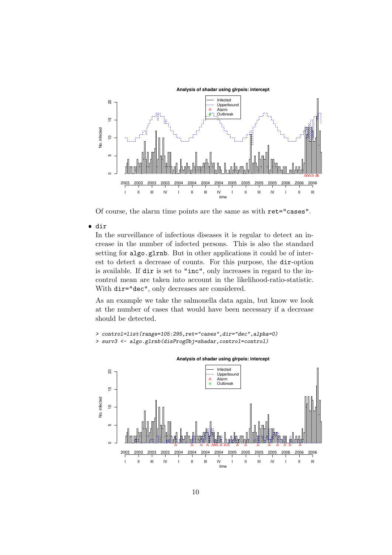

Of course, the alarm time points are the same as with ret="cases".

❼ dir

In the surveillance of infectious diseases it is regular to detect an increase in the number of infected persons. This is also the standard setting for algo.glrnb. But in other applications it could be of interest to detect a decrease of counts. For this purpose, the dir-option is available. If dir is set to "inc", only increases in regard to the incontrol mean are taken into account in the likelihood-ratio-statistic. With dir="dec", only decreases are considered.

As an example we take the salmonella data again, but know we look at the number of cases that would have been necessary if a decrease should be detected.



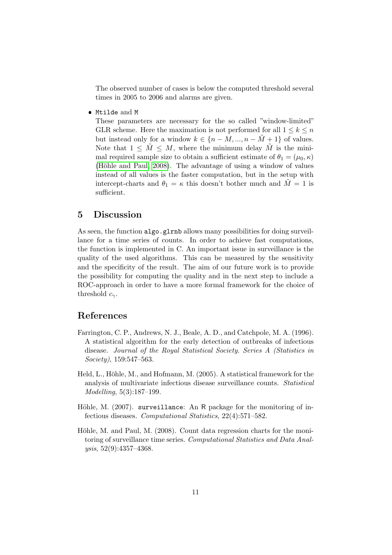The observed number of cases is below the computed threshold several times in 2005 to 2006 and alarms are given.

❼ Mtilde and M

These parameters are necessary for the so called "window-limited" GLR scheme. Here the maximation is not performed for all  $1 \leq k \leq n$ but instead only for a window  $k \in \{n - M, ..., n - \tilde{M} + 1\}$  of values. Note that  $1 \leq \tilde{M} \leq M$ , where the minimum delay  $\tilde{M}$  is the minimal required sample size to obtain a sufficient estimate of  $\theta_1 = (\mu_0, \kappa)$ (Höhle and Paul, 2008). The advantage of using a window of values instead of all values is the faster computation, but in the setup with intercept-charts and  $\theta_1 = \kappa$  this doesn't bother much and  $\tilde{M} = 1$  is sufficient.

### 5 Discussion

As seen, the function algo.glrnb allows many possibilities for doing surveillance for a time series of counts. In order to achieve fast computations, the function is implemented in C. An important issue in surveillance is the quality of the used algorithms. This can be measured by the sensitivity and the specificity of the result. The aim of our future work is to provide the possibility for computing the quality and in the next step to include a ROC-approach in order to have a more formal framework for the choice of threshold *cγ*.

### References

- <span id="page-10-1"></span>Farrington, C. P., Andrews, N. J., Beale, A. D., and Catchpole, M. A. (1996). A statistical algorithm for the early detection of outbreaks of infectious disease. *Journal of the Royal Statistical Society. Series A (Statistics in Society)*, 159:547–563.
- <span id="page-10-3"></span>Held, L., Höhle, M., and Hofmann, M. (2005). A statistical framework for the analysis of multivariate infectious disease surveillance counts. *Statistical Modelling*, 5(3):187–199.
- <span id="page-10-0"></span>Höhle, M. (2007). surveillance: An R package for the monitoring of infectious diseases. *Computational Statistics*, 22(4):571–582.
- <span id="page-10-2"></span>Höhle, M. and Paul, M. (2008). Count data regression charts for the monitoring of surveillance time series. *Computational Statistics and Data Analysis*, 52(9):4357–4368.